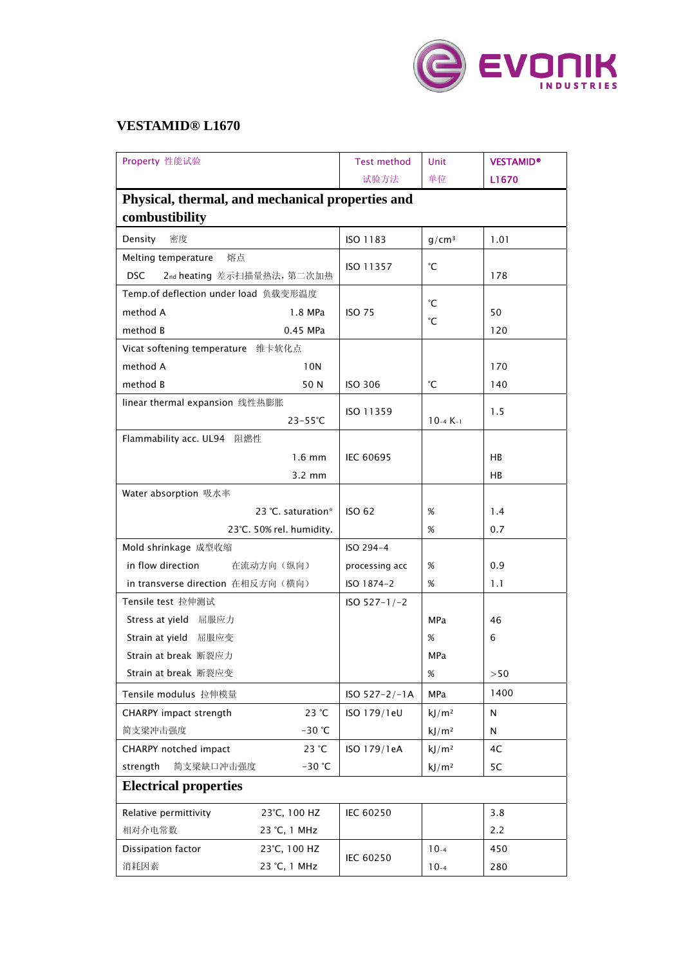

## **VESTAMID® L1670**

| Property 性能试验                                    |                    | <b>Test method</b> | Unit              | <b>VESTAMID®</b> |  |  |  |
|--------------------------------------------------|--------------------|--------------------|-------------------|------------------|--|--|--|
|                                                  |                    | 试验方法               | 单位                | L1670            |  |  |  |
| Physical, thermal, and mechanical properties and |                    |                    |                   |                  |  |  |  |
| combustibility                                   |                    |                    |                   |                  |  |  |  |
| 密度<br>Density                                    |                    | ISO 1183           | q/cm <sup>3</sup> | 1.01             |  |  |  |
| Melting temperature<br>熔点                        |                    | ISO 11357          | °С                |                  |  |  |  |
| <b>DSC</b><br>2nd heating 差示扫描量热法, 第二次加热         |                    |                    |                   | 178              |  |  |  |
| Temp.of deflection under load 负载变形温度             |                    |                    |                   |                  |  |  |  |
| method A                                         | 1.8 MPa            | <b>ISO 75</b>      | °С                | 50               |  |  |  |
| method B                                         | 0.45 MPa           |                    | °С                | 120              |  |  |  |
| Vicat softening temperature 维卡软化点                |                    |                    |                   |                  |  |  |  |
| method A                                         | 10N                |                    |                   | 170              |  |  |  |
| method B                                         | 50 N               | <b>ISO 306</b>     | °С                | 140              |  |  |  |
| linear thermal expansion 线性热膨胀                   |                    |                    |                   |                  |  |  |  |
|                                                  | $23 - 55^{\circ}C$ | ISO 11359          | $10-4 K-1$        | 1.5              |  |  |  |
| Flammability acc. UL94 阻燃性                       |                    |                    |                   |                  |  |  |  |
| $1.6 \text{ mm}$                                 |                    | <b>IEC 60695</b>   |                   | HB               |  |  |  |
|                                                  | $3.2 \text{ mm}$   |                    |                   | HB               |  |  |  |
| Water absorption 吸水率                             |                    |                    |                   |                  |  |  |  |
| 23 °C. saturation*                               |                    | <b>ISO 62</b>      | $\%$              | 1.4              |  |  |  |
| 23°C. 50% rel. humidity.                         |                    |                    | %                 | 0.7              |  |  |  |
| Mold shrinkage 成型收缩                              |                    | ISO 294-4          |                   |                  |  |  |  |
| in flow direction<br>在流动方向(纵向)                   |                    | processing acc     | %                 | 0.9              |  |  |  |
| in transverse direction 在相反方向(横向)                |                    | ISO 1874-2         | $\%$              | 1.1              |  |  |  |
| Tensile test 拉伸测试                                | $ISO 527-1/-2$     |                    |                   |                  |  |  |  |
| Stress at yield 屈服应力                             |                    |                    | MPa               | 46               |  |  |  |
| Strain at yield 屈服应变                             |                    |                    | %                 | 6                |  |  |  |
| Strain at break 断裂应力                             |                    |                    | MPa               |                  |  |  |  |
| Strain at break 断裂应变                             |                    |                    | %                 | >50              |  |  |  |
| Tensile modulus 拉伸模量                             |                    | $ISO 527 - 2/-1A$  | <b>MPa</b>        | 1400             |  |  |  |
| CHARPY impact strength                           | 23 °C              | ISO 179/1eU        | kJ/m <sup>2</sup> | N                |  |  |  |
| 简支梁冲击强度                                          | $-30$ °C           |                    | kJ/m <sup>2</sup> | N                |  |  |  |
| CHARPY notched impact                            | 23 °C              | ISO 179/1eA        | kJ/m <sup>2</sup> | 4C               |  |  |  |
| strength<br>简支梁缺口冲击强度                            | $-30$ °C           |                    | kJ/m <sup>2</sup> | 5C               |  |  |  |
| <b>Electrical properties</b>                     |                    |                    |                   |                  |  |  |  |
| Relative permittivity                            | 23°C, 100 HZ       | IEC 60250          |                   | 3.8              |  |  |  |
| 相对介电常数                                           | 23 °C, 1 MHz       |                    |                   | 2.2              |  |  |  |
| Dissipation factor                               | 23°C, 100 HZ       |                    | $10-4$            | 450              |  |  |  |
| 消耗因素                                             | 23 °C, 1 MHz       | IEC 60250          | $10-4$            | 280              |  |  |  |